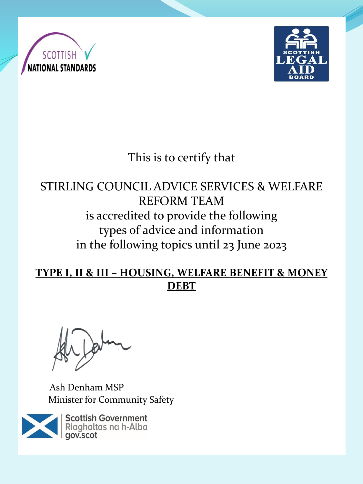



# This is to certify that

## STIRLING COUNCIL ADVICE SERVICES & WELFARE REFORM TEAM is accredited to provide the following types of advice and information in the following topics until 23 June 2023

#### **TYPE I, II & III – HOUSING, WELFARE BENEFIT & MONEY DEBT**

Ash Denham MSP Minister for Community Safety

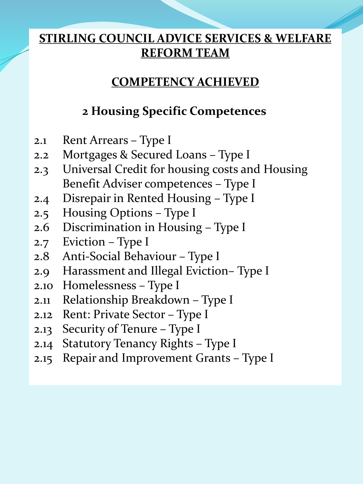#### **COMPETENCY ACHIEVED**

## **2 Housing Specific Competences**

- 2.1 Rent Arrears Type I
- 2.2 Mortgages & Secured Loans Type I
- 2.3 Universal Credit for housing costs and Housing Benefit Adviser competences – Type I
- 2.4 Disrepair in Rented Housing Type I
- 2.5 Housing Options Type I
- 2.6 Discrimination in Housing Type I
- 2.7 Eviction Type I
- 2.8 Anti-Social Behaviour Type I
- 2.9 Harassment and Illegal Eviction– Type I
- 2.10 Homelessness Type I
- 2.11 Relationship Breakdown Type I
- 2.12 Rent: Private Sector Type I
- 2.13 Security of Tenure Type I
- 2.14 Statutory Tenancy Rights Type I
- 2.15 Repair and Improvement Grants Type I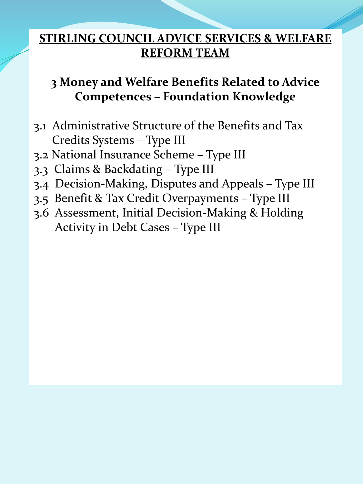## **3 Money and Welfare Benefits Related to Advice Competences – Foundation Knowledge**

- 3.1 Administrative Structure of the Benefits and Tax Credits Systems – Type III
- 3.2 National Insurance Scheme Type III
- 3.3 Claims & Backdating Type III
- 3.4 Decision-Making, Disputes and Appeals Type III
- 3.5 Benefit & Tax Credit Overpayments Type III
- 3.6 Assessment, Initial Decision-Making & Holding Activity in Debt Cases – Type III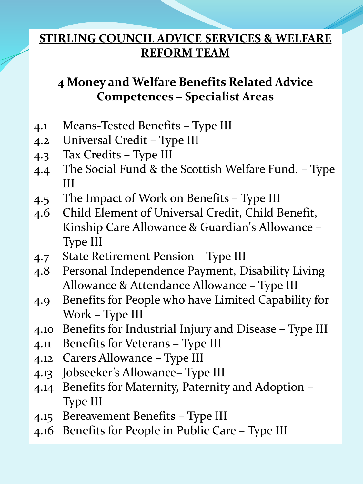## **4 Money and Welfare Benefits Related Advice Competences – Specialist Areas**

- 4.1 Means-Tested Benefits Type III
- 4.2 Universal Credit Type III
- 4.3 Tax Credits Type III
- 4.4 The Social Fund & the Scottish Welfare Fund. Type III
- 4.5 The Impact of Work on Benefits Type III
- 4.6 Child Element of Universal Credit, Child Benefit, Kinship Care Allowance & Guardian's Allowance – Type III
- 4.7 State Retirement Pension Type III
- 4.8 Personal Independence Payment, Disability Living Allowance & Attendance Allowance – Type III
- 4.9 Benefits for People who have Limited Capability for Work – Type III
- 4.10 Benefits for Industrial Injury and Disease Type III
- 4.11 Benefits for Veterans Type III
- 4.12 Carers Allowance Type III
- 4.13 Jobseeker's Allowance– Type III
- 4.14 Benefits for Maternity, Paternity and Adoption Type III
- 4.15 Bereavement Benefits Type III
- 4.16 Benefits for People in Public Care Type III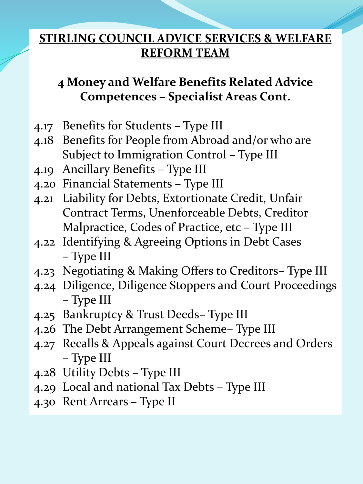## **4 Money and Welfare Benefits Related Advice Competences – Specialist Areas Cont.**

- 4.17 Benefits for Students Type III
- 4.18 Benefits for People from Abroad and/or who are Subject to Immigration Control – Type III
- 4.19 Ancillary Benefits Type III
- 4.20 Financial Statements Type III
- 4.21 Liability for Debts, Extortionate Credit, Unfair Contract Terms, Unenforceable Debts, Creditor Malpractice, Codes of Practice, etc – Type III
- 4.22 Identifying & Agreeing Options in Debt Cases – Type III
- 4.23 Negotiating & Making Offers to Creditors– Type III
- 4.24 Diligence, Diligence Stoppers and Court Proceedings – Type III
- 4.25 Bankruptcy & Trust Deeds– Type III
- 4.26 The Debt Arrangement Scheme– Type III
- 4.27 Recalls & Appeals against Court Decrees and Orders – Type III
- 4.28 Utility Debts Type III
- 4.29 Local and national Tax Debts Type III
- 4.30 Rent Arrears Type II